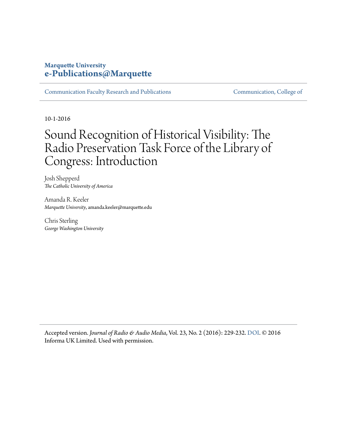## **Marquette University [e-Publications@Marquette](http://epublications.marquette.edu)**

[Communication Faculty Research and Publications](http://epublications.marquette.edu/comm_fac) [Communication, College of](http://epublications.marquette.edu/communication)

10-1-2016

## Sound Recognition of Historical Visibility: The Radio Preservation Task Force of the Library of Congress: Introduction

Josh Shepperd *The Catholic University of America*

Amanda R. Keeler *Marquette University*, amanda.keeler@marquette.edu

Chris Sterling *George Washington University*

Accepted version. *Journal of Radio & Audio Media*, Vol. 23, No. 2 (2016): 229-232. [DOI](http://dx.doi.org/10.1080/19376529.2016.1223966). © 2016 Informa UK Limited. Used with permission.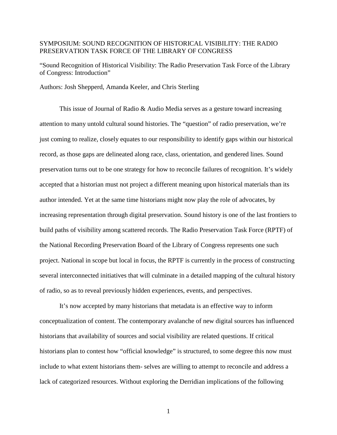## SYMPOSIUM: SOUND RECOGNITION OF HISTORICAL VISIBILITY: THE RADIO PRESERVATION TASK FORCE OF THE LIBRARY OF CONGRESS

"Sound Recognition of Historical Visibility: The Radio Preservation Task Force of the Library of Congress: Introduction"

Authors: Josh Shepperd, Amanda Keeler, and Chris Sterling

This issue of Journal of Radio & Audio Media serves as a gesture toward increasing attention to many untold cultural sound histories. The "question" of radio preservation, we're just coming to realize, closely equates to our responsibility to identify gaps within our historical record, as those gaps are delineated along race, class, orientation, and gendered lines. Sound preservation turns out to be one strategy for how to reconcile failures of recognition. It's widely accepted that a historian must not project a different meaning upon historical materials than its author intended. Yet at the same time historians might now play the role of advocates, by increasing representation through digital preservation. Sound history is one of the last frontiers to build paths of visibility among scattered records. The Radio Preservation Task Force (RPTF) of the National Recording Preservation Board of the Library of Congress represents one such project. National in scope but local in focus, the RPTF is currently in the process of constructing several interconnected initiatives that will culminate in a detailed mapping of the cultural history of radio, so as to reveal previously hidden experiences, events, and perspectives.

It's now accepted by many historians that metadata is an effective way to inform conceptualization of content. The contemporary avalanche of new digital sources has influenced historians that availability of sources and social visibility are related questions. If critical historians plan to contest how "official knowledge" is structured, to some degree this now must include to what extent historians them- selves are willing to attempt to reconcile and address a lack of categorized resources. Without exploring the Derridian implications of the following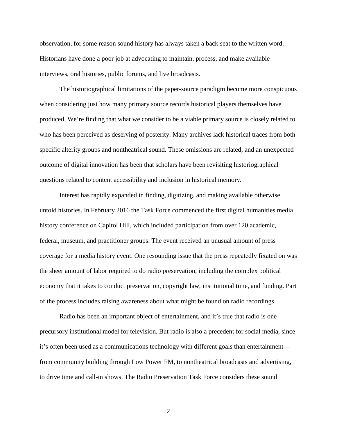observation, for some reason sound history has always taken a back seat to the written word. Historians have done a poor job at advocating to maintain, process, and make available interviews, oral histories, public forums, and live broadcasts.

The historiographical limitations of the paper-source paradigm become more conspicuous when considering just how many primary source records historical players themselves have produced. We're finding that what we consider to be a viable primary source is closely related to who has been perceived as deserving of posterity. Many archives lack historical traces from both specific alterity groups and nontheatrical sound. These omissions are related, and an unexpected outcome of digital innovation has been that scholars have been revisiting historiographical questions related to content accessibility and inclusion in historical memory.

Interest has rapidly expanded in finding, digitizing, and making available otherwise untold histories. In February 2016 the Task Force commenced the first digital humanities media history conference on Capitol Hill, which included participation from over 120 academic, federal, museum, and practitioner groups. The event received an unusual amount of press coverage for a media history event. One resounding issue that the press repeatedly fixated on was the sheer amount of labor required to do radio preservation, including the complex political economy that it takes to conduct preservation, copyright law, institutional time, and funding. Part of the process includes raising awareness about what might be found on radio recordings.

Radio has been an important object of entertainment, and it's true that radio is one precursory institutional model for television. But radio is also a precedent for social media, since it's often been used as a communications technology with different goals than entertainment from community building through Low Power FM, to nontheatrical broadcasts and advertising, to drive time and call-in shows. The Radio Preservation Task Force considers these sound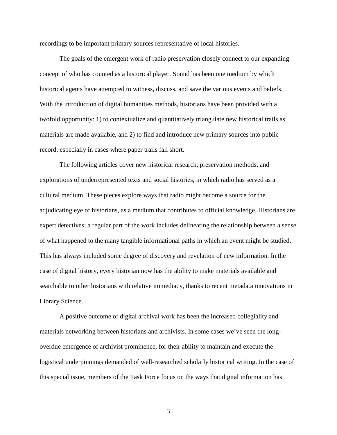recordings to be important primary sources representative of local histories.

The goals of the emergent work of radio preservation closely connect to our expanding concept of who has counted as a historical player. Sound has been one medium by which historical agents have attempted to witness, discuss, and save the various events and beliefs. With the introduction of digital humanities methods, historians have been provided with a twofold opportunity: 1) to contextualize and quantitatively triangulate new historical trails as materials are made available, and 2) to find and introduce new primary sources into public record, especially in cases where paper trails fall short.

The following articles cover new historical research, preservation methods, and explorations of underrepresented texts and social histories, in which radio has served as a cultural medium. These pieces explore ways that radio might become a source for the adjudicating eye of historians, as a medium that contributes to official knowledge. Historians are expert detectives; a regular part of the work includes delineating the relationship between a sense of what happened to the many tangible informational paths in which an event might be studied. This has always included some degree of discovery and revelation of new information. In the case of digital history, every historian now has the ability to make materials available and searchable to other historians with relative immediacy, thanks to recent metadata innovations in Library Science.

A positive outcome of digital archival work has been the increased collegiality and materials networking between historians and archivists. In some cases we've seen the longoverdue emergence of archivist prominence, for their ability to maintain and execute the logistical underpinnings demanded of well-researched scholarly historical writing. In the case of this special issue, members of the Task Force focus on the ways that digital information has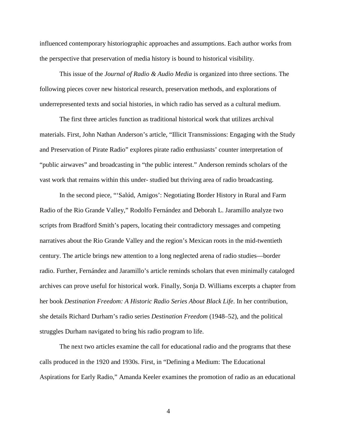influenced contemporary historiographic approaches and assumptions. Each author works from the perspective that preservation of media history is bound to historical visibility.

This issue of the *Journal of Radio & Audio Media* is organized into three sections. The following pieces cover new historical research, preservation methods, and explorations of underrepresented texts and social histories, in which radio has served as a cultural medium.

The first three articles function as traditional historical work that utilizes archival materials. First, John Nathan Anderson's article, "Illicit Transmissions: Engaging with the Study and Preservation of Pirate Radio" explores pirate radio enthusiasts' counter interpretation of "public airwaves" and broadcasting in "the public interest." Anderson reminds scholars of the vast work that remains within this under- studied but thriving area of radio broadcasting.

In the second piece, "'Salúd, Amigos': Negotiating Border History in Rural and Farm Radio of the Rio Grande Valley," Rodolfo Fernández and Deborah L. Jaramillo analyze two scripts from Bradford Smith's papers, locating their contradictory messages and competing narratives about the Rio Grande Valley and the region's Mexican roots in the mid-twentieth century. The article brings new attention to a long neglected arena of radio studies—border radio. Further, Fernández and Jaramillo's article reminds scholars that even minimally cataloged archives can prove useful for historical work. Finally, Sonja D. Williams excerpts a chapter from her book *Destination Freedom: A Historic Radio Series About Black Life*. In her contribution, she details Richard Durham's radio series *Destination Freedom* (1948–52), and the political struggles Durham navigated to bring his radio program to life.

The next two articles examine the call for educational radio and the programs that these calls produced in the 1920 and 1930s. First, in "Defining a Medium: The Educational Aspirations for Early Radio," Amanda Keeler examines the promotion of radio as an educational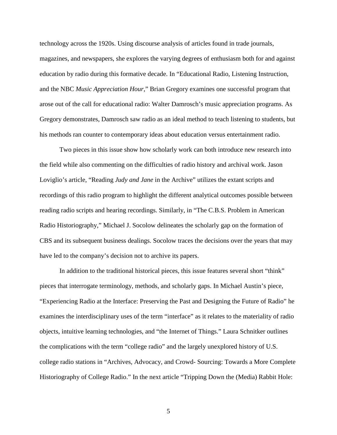technology across the 1920s. Using discourse analysis of articles found in trade journals, magazines, and newspapers, she explores the varying degrees of enthusiasm both for and against education by radio during this formative decade. In "Educational Radio, Listening Instruction, and the NBC *Music Appreciation Hour*," Brian Gregory examines one successful program that arose out of the call for educational radio: Walter Damrosch's music appreciation programs. As Gregory demonstrates, Damrosch saw radio as an ideal method to teach listening to students, but his methods ran counter to contemporary ideas about education versus entertainment radio.

Two pieces in this issue show how scholarly work can both introduce new research into the field while also commenting on the difficulties of radio history and archival work. Jason Loviglio's article, "Reading *Judy and Jane* in the Archive" utilizes the extant scripts and recordings of this radio program to highlight the different analytical outcomes possible between reading radio scripts and hearing recordings. Similarly, in "The C.B.S. Problem in American Radio Historiography," Michael J. Socolow delineates the scholarly gap on the formation of CBS and its subsequent business dealings. Socolow traces the decisions over the years that may have led to the company's decision not to archive its papers.

In addition to the traditional historical pieces, this issue features several short "think" pieces that interrogate terminology, methods, and scholarly gaps. In Michael Austin's piece, "Experiencing Radio at the Interface: Preserving the Past and Designing the Future of Radio" he examines the interdisciplinary uses of the term "interface" as it relates to the materiality of radio objects, intuitive learning technologies, and "the Internet of Things." Laura Schnitker outlines the complications with the term "college radio" and the largely unexplored history of U.S. college radio stations in "Archives, Advocacy, and Crowd- Sourcing: Towards a More Complete Historiography of College Radio." In the next article "Tripping Down the (Media) Rabbit Hole: